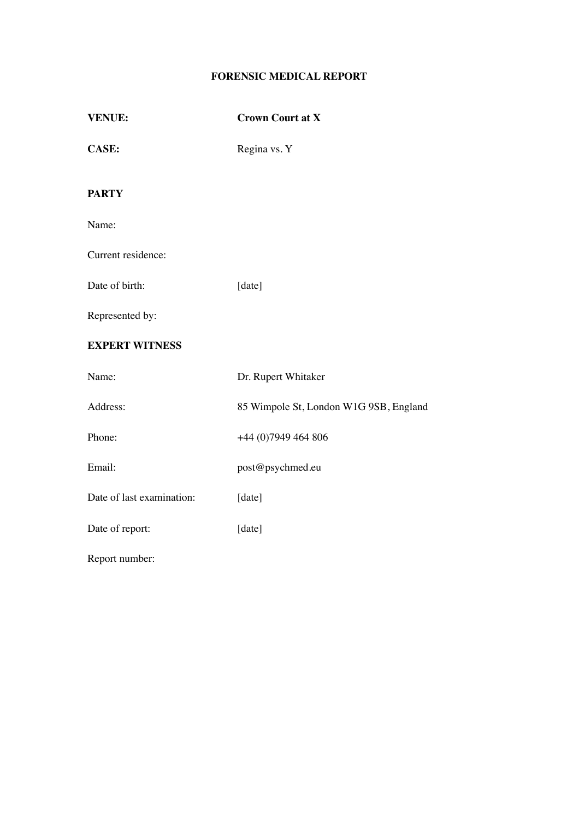# **FORENSIC MEDICAL REPORT**

| <b>VENUE:</b>             | <b>Crown Court at X</b>                |  |
|---------------------------|----------------------------------------|--|
| <b>CASE:</b>              | Regina vs. Y                           |  |
| <b>PARTY</b>              |                                        |  |
| Name:                     |                                        |  |
| Current residence:        |                                        |  |
| Date of birth:            | [date]                                 |  |
| Represented by:           |                                        |  |
| <b>EXPERT WITNESS</b>     |                                        |  |
| Name:                     | Dr. Rupert Whitaker                    |  |
| Address:                  | 85 Wimpole St, London W1G 9SB, England |  |
| Phone:                    | +44 (0) 7949 464 806                   |  |
| Email:                    | post@psychmed.eu                       |  |
| Date of last examination: | [date]                                 |  |
| Date of report:           | [date]                                 |  |

Report number: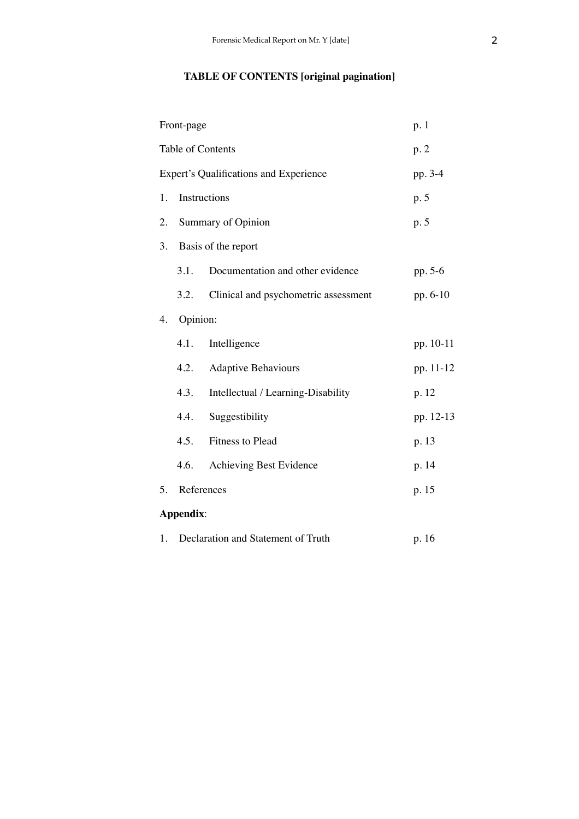# **TABLE OF CONTENTS [original pagination]**

|    | Front-page                                    |                                      |           |
|----|-----------------------------------------------|--------------------------------------|-----------|
|    | Table of Contents                             |                                      | p.2       |
|    | <b>Expert's Qualifications and Experience</b> |                                      | pp. 3-4   |
| 1. | Instructions                                  |                                      | p. 5      |
| 2. | <b>Summary of Opinion</b>                     |                                      | p. 5      |
| 3. | Basis of the report                           |                                      |           |
|    | 3.1.                                          | Documentation and other evidence     | pp. 5-6   |
|    | 3.2.                                          | Clinical and psychometric assessment | pp. 6-10  |
| 4. | Opinion:                                      |                                      |           |
|    | 4.1.                                          | Intelligence                         | pp. 10-11 |
|    | 4.2.                                          | <b>Adaptive Behaviours</b>           | pp. 11-12 |
|    | 4.3.                                          | Intellectual / Learning-Disability   | p. 12     |
|    | 4.4.                                          | Suggestibility                       | pp. 12-13 |
|    | 4.5.                                          | Fitness to Plead                     | p. 13     |
|    | 4.6.                                          | Achieving Best Evidence              | p. 14     |
| 5. | References                                    |                                      | p. 15     |
|    | Appendix:                                     |                                      |           |
| 1. | Declaration and Statement of Truth            |                                      | p. 16     |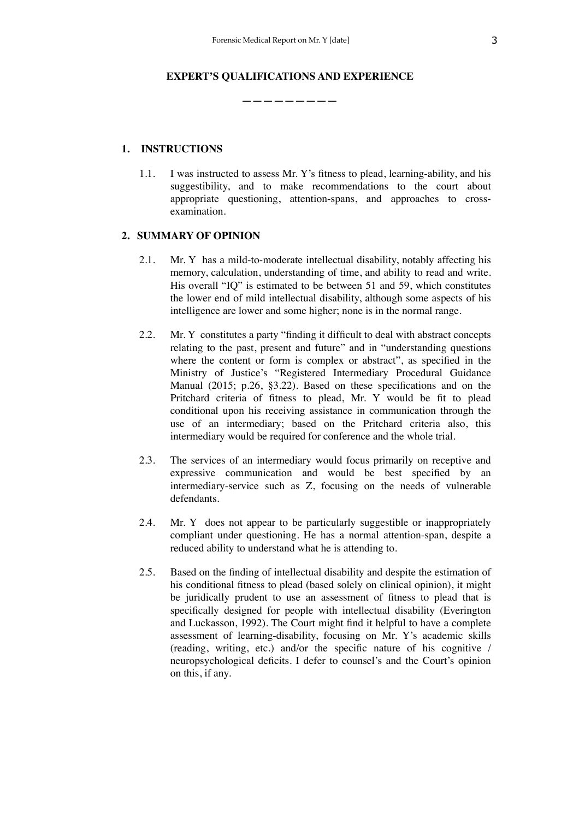### **EXPERT'S QUALIFICATIONS AND EXPERIENCE**

**—————————**

# **1. INSTRUCTIONS**

1.1. I was instructed to assess Mr. Y's fitness to plead, learning-ability, and his suggestibility, and to make recommendations to the court about appropriate questioning, attention-spans, and approaches to crossexamination.

### **2. SUMMARY OF OPINION**

- 2.1. Mr. Y has a mild-to-moderate intellectual disability, notably affecting his memory, calculation, understanding of time, and ability to read and write. His overall "IQ" is estimated to be between 51 and 59, which constitutes the lower end of mild intellectual disability, although some aspects of his intelligence are lower and some higher; none is in the normal range.
- 2.2. Mr. Y constitutes a party "finding it difficult to deal with abstract concepts relating to the past, present and future" and in "understanding questions where the content or form is complex or abstract", as specified in the Ministry of Justice's "Registered Intermediary Procedural Guidance Manual (2015; p.26, §3.22). Based on these specifications and on the Pritchard criteria of fitness to plead, Mr. Y would be fit to plead conditional upon his receiving assistance in communication through the use of an intermediary; based on the Pritchard criteria also, this intermediary would be required for conference and the whole trial.
- 2.3. The services of an intermediary would focus primarily on receptive and expressive communication and would be best specified by an intermediary-service such as Z, focusing on the needs of vulnerable defendants.
- 2.4. Mr. Y does not appear to be particularly suggestible or inappropriately compliant under questioning. He has a normal attention-span, despite a reduced ability to understand what he is attending to.
- 2.5. Based on the finding of intellectual disability and despite the estimation of his conditional fitness to plead (based solely on clinical opinion), it might be juridically prudent to use an assessment of fitness to plead that is specifically designed for people with intellectual disability (Everington and Luckasson, 1992). The Court might find it helpful to have a complete assessment of learning-disability, focusing on Mr. Y's academic skills (reading, writing, etc.) and/or the specific nature of his cognitive / neuropsychological deficits. I defer to counsel's and the Court's opinion on this, if any.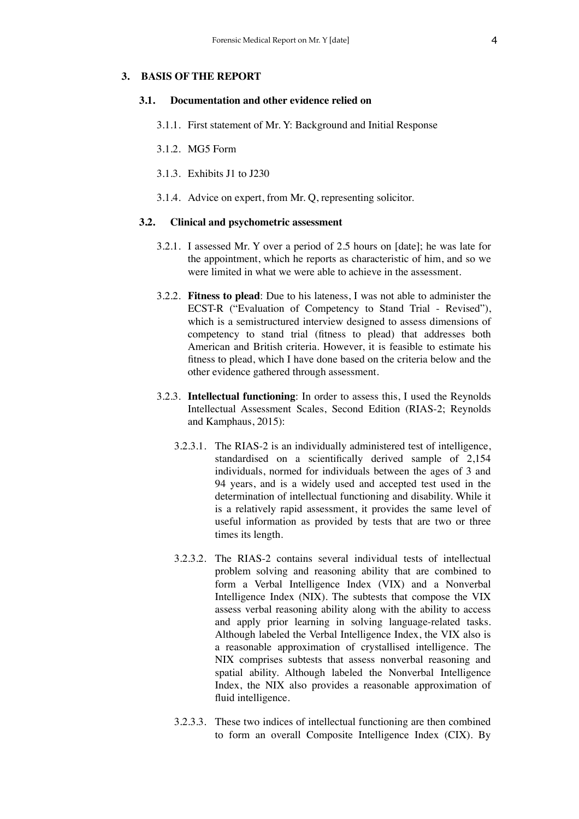#### **3. BASIS OF THE REPORT**

#### **3.1. Documentation and other evidence relied on**

- 3.1.1. First statement of Mr. Y: Background and Initial Response
- 3.1.2. MG5 Form
- 3.1.3. Exhibits J1 to J230
- 3.1.4. Advice on expert, from Mr. Q, representing solicitor.

#### **3.2. Clinical and psychometric assessment**

- 3.2.1. I assessed Mr. Y over a period of 2.5 hours on [date]; he was late for the appointment, which he reports as characteristic of him, and so we were limited in what we were able to achieve in the assessment.
- 3.2.2. **Fitness to plead**: Due to his lateness, I was not able to administer the ECST-R ("Evaluation of Competency to Stand Trial - Revised"), which is a semistructured interview designed to assess dimensions of competency to stand trial (fitness to plead) that addresses both American and British criteria. However, it is feasible to estimate his fitness to plead, which I have done based on the criteria below and the other evidence gathered through assessment.
- 3.2.3. **Intellectual functioning**: In order to assess this, I used the Reynolds Intellectual Assessment Scales, Second Edition (RIAS-2; Reynolds and Kamphaus, 2015):
	- 3.2.3.1. The RIAS-2 is an individually administered test of intelligence, standardised on a scientifically derived sample of 2,154 individuals, normed for individuals between the ages of 3 and 94 years, and is a widely used and accepted test used in the determination of intellectual functioning and disability. While it is a relatively rapid assessment, it provides the same level of useful information as provided by tests that are two or three times its length.
	- 3.2.3.2. The RIAS-2 contains several individual tests of intellectual problem solving and reasoning ability that are combined to form a Verbal Intelligence Index (VIX) and a Nonverbal Intelligence Index (NIX). The subtests that compose the VIX assess verbal reasoning ability along with the ability to access and apply prior learning in solving language-related tasks. Although labeled the Verbal Intelligence Index, the VIX also is a reasonable approximation of crystallised intelligence. The NIX comprises subtests that assess nonverbal reasoning and spatial ability. Although labeled the Nonverbal Intelligence Index, the NIX also provides a reasonable approximation of fluid intelligence.
	- 3.2.3.3. These two indices of intellectual functioning are then combined to form an overall Composite Intelligence Index (CIX). By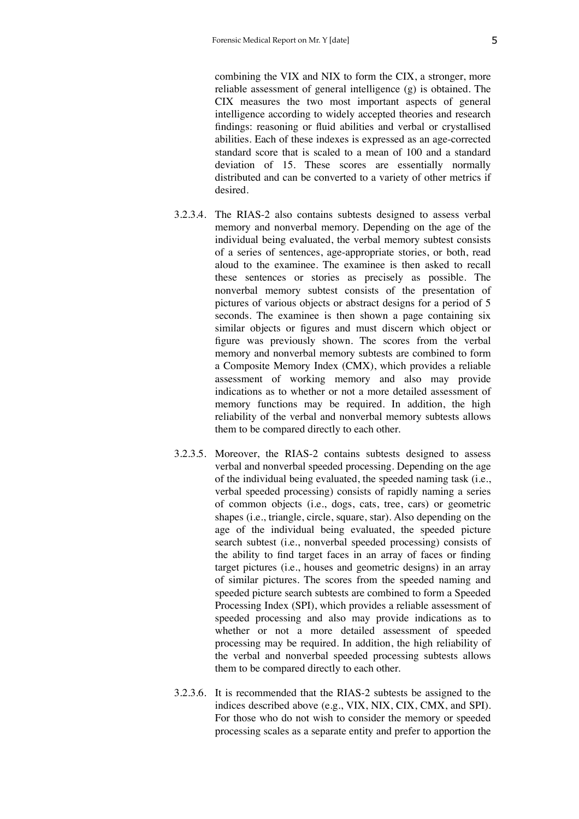combining the VIX and NIX to form the CIX, a stronger, more reliable assessment of general intelligence (g) is obtained. The CIX measures the two most important aspects of general intelligence according to widely accepted theories and research findings: reasoning or fluid abilities and verbal or crystallised abilities. Each of these indexes is expressed as an age-corrected standard score that is scaled to a mean of 100 and a standard deviation of 15. These scores are essentially normally distributed and can be converted to a variety of other metrics if desired.

- 3.2.3.4. The RIAS-2 also contains subtests designed to assess verbal memory and nonverbal memory. Depending on the age of the individual being evaluated, the verbal memory subtest consists of a series of sentences, age-appropriate stories, or both, read aloud to the examinee. The examinee is then asked to recall these sentences or stories as precisely as possible. The nonverbal memory subtest consists of the presentation of pictures of various objects or abstract designs for a period of 5 seconds. The examinee is then shown a page containing six similar objects or figures and must discern which object or figure was previously shown. The scores from the verbal memory and nonverbal memory subtests are combined to form a Composite Memory Index (CMX), which provides a reliable assessment of working memory and also may provide indications as to whether or not a more detailed assessment of memory functions may be required. In addition, the high reliability of the verbal and nonverbal memory subtests allows them to be compared directly to each other.
- 3.2.3.5. Moreover, the RIAS-2 contains subtests designed to assess verbal and nonverbal speeded processing. Depending on the age of the individual being evaluated, the speeded naming task (i.e., verbal speeded processing) consists of rapidly naming a series of common objects (i.e., dogs, cats, tree, cars) or geometric shapes (i.e., triangle, circle, square, star). Also depending on the age of the individual being evaluated, the speeded picture search subtest (i.e., nonverbal speeded processing) consists of the ability to find target faces in an array of faces or finding target pictures (i.e., houses and geometric designs) in an array of similar pictures. The scores from the speeded naming and speeded picture search subtests are combined to form a Speeded Processing Index (SPI), which provides a reliable assessment of speeded processing and also may provide indications as to whether or not a more detailed assessment of speeded processing may be required. In addition, the high reliability of the verbal and nonverbal speeded processing subtests allows them to be compared directly to each other.
- 3.2.3.6. It is recommended that the RIAS-2 subtests be assigned to the indices described above (e.g., VIX, NIX, CIX, CMX, and SPI). For those who do not wish to consider the memory or speeded processing scales as a separate entity and prefer to apportion the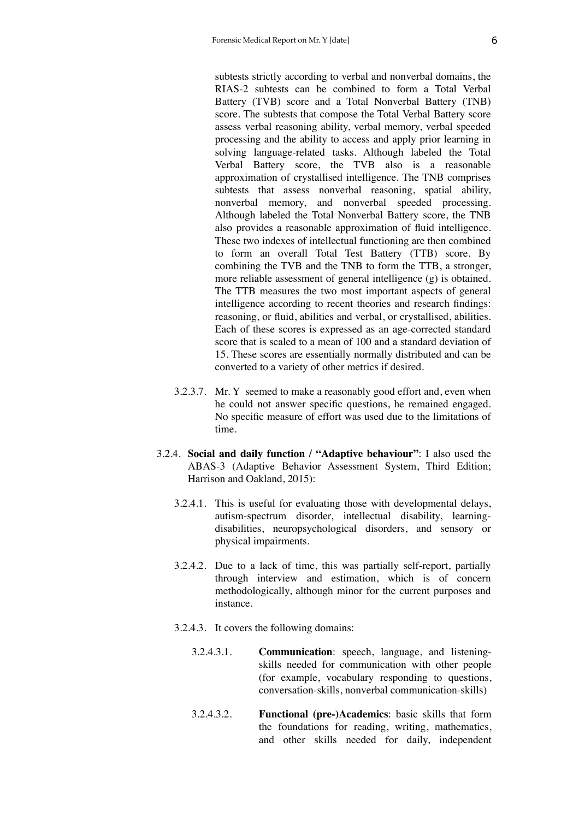subtests strictly according to verbal and nonverbal domains, the RIAS-2 subtests can be combined to form a Total Verbal Battery (TVB) score and a Total Nonverbal Battery (TNB) score. The subtests that compose the Total Verbal Battery score assess verbal reasoning ability, verbal memory, verbal speeded processing and the ability to access and apply prior learning in solving language-related tasks. Although labeled the Total Verbal Battery score, the TVB also is a reasonable approximation of crystallised intelligence. The TNB comprises subtests that assess nonverbal reasoning, spatial ability, nonverbal memory, and nonverbal speeded processing. Although labeled the Total Nonverbal Battery score, the TNB also provides a reasonable approximation of fluid intelligence. These two indexes of intellectual functioning are then combined to form an overall Total Test Battery (TTB) score. By combining the TVB and the TNB to form the TTB, a stronger, more reliable assessment of general intelligence (g) is obtained. The TTB measures the two most important aspects of general intelligence according to recent theories and research findings: reasoning, or fluid, abilities and verbal, or crystallised, abilities. Each of these scores is expressed as an age-corrected standard score that is scaled to a mean of 100 and a standard deviation of 15. These scores are essentially normally distributed and can be converted to a variety of other metrics if desired.

- 3.2.3.7. Mr. Y seemed to make a reasonably good effort and, even when he could not answer specific questions, he remained engaged. No specific measure of effort was used due to the limitations of time.
- 3.2.4. **Social and daily function / "Adaptive behaviour"**: I also used the ABAS-3 (Adaptive Behavior Assessment System, Third Edition; Harrison and Oakland, 2015):
	- 3.2.4.1. This is useful for evaluating those with developmental delays, autism-spectrum disorder, intellectual disability, learningdisabilities, neuropsychological disorders, and sensory or physical impairments.
	- 3.2.4.2. Due to a lack of time, this was partially self-report, partially through interview and estimation, which is of concern methodologically, although minor for the current purposes and instance.
	- 3.2.4.3. It covers the following domains:
		- 3.2.4.3.1. **Communication**: speech, language, and listeningskills needed for communication with other people (for example, vocabulary responding to questions, conversation-skills, nonverbal communication-skills)
		- 3.2.4.3.2. **Functional (pre-)Academics**: basic skills that form the foundations for reading, writing, mathematics, and other skills needed for daily, independent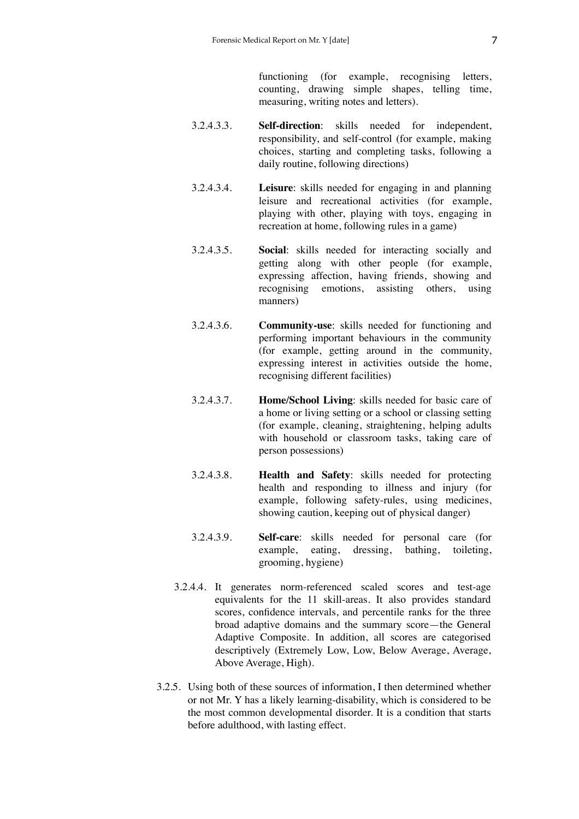functioning (for example, recognising letters, counting, drawing simple shapes, telling time, measuring, writing notes and letters).

- 3.2.4.3.3. **Self-direction**: skills needed for independent, responsibility, and self-control (for example, making choices, starting and completing tasks, following a daily routine, following directions)
- 3.2.4.3.4. **Leisure**: skills needed for engaging in and planning leisure and recreational activities (for example, playing with other, playing with toys, engaging in recreation at home, following rules in a game)
- 3.2.4.3.5. **Social**: skills needed for interacting socially and getting along with other people (for example, expressing affection, having friends, showing and recognising emotions, assisting others, using manners)
- 3.2.4.3.6. **Community-use**: skills needed for functioning and performing important behaviours in the community (for example, getting around in the community, expressing interest in activities outside the home, recognising different facilities)
- 3.2.4.3.7. **Home/School Living**: skills needed for basic care of a home or living setting or a school or classing setting (for example, cleaning, straightening, helping adults with household or classroom tasks, taking care of person possessions)
- 3.2.4.3.8. **Health and Safety**: skills needed for protecting health and responding to illness and injury (for example, following safety-rules, using medicines, showing caution, keeping out of physical danger)
- 3.2.4.3.9. **Self-care**: skills needed for personal care (for example, eating, dressing, bathing, toileting, grooming, hygiene)
- 3.2.4.4. It generates norm-referenced scaled scores and test-age equivalents for the 11 skill-areas. It also provides standard scores, confidence intervals, and percentile ranks for the three broad adaptive domains and the summary score—the General Adaptive Composite. In addition, all scores are categorised descriptively (Extremely Low, Low, Below Average, Average, Above Average, High).
- 3.2.5. Using both of these sources of information, I then determined whether or not Mr. Y has a likely learning-disability, which is considered to be the most common developmental disorder. It is a condition that starts before adulthood, with lasting effect.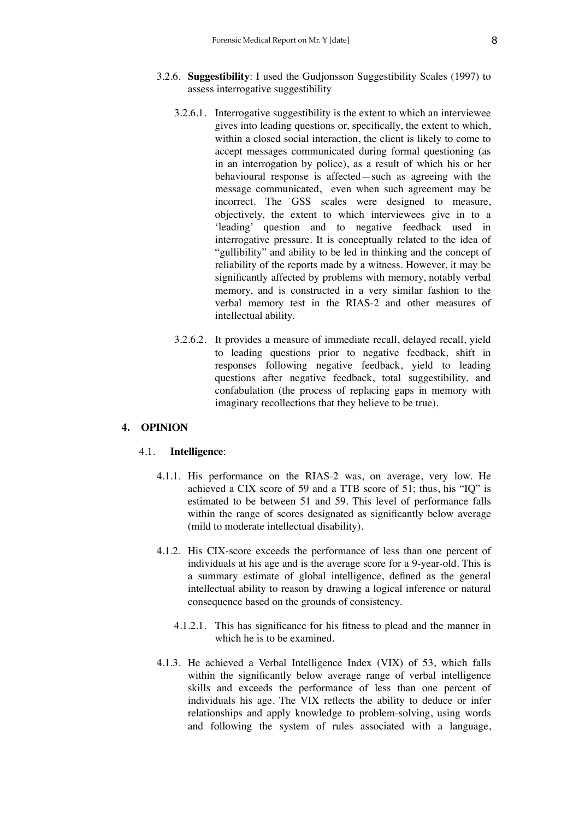- 3.2.6. **Suggestibility**: I used the Gudjonsson Suggestibility Scales (1997) to assess interrogative suggestibility
	- 3.2.6.1. Interrogative suggestibility is the extent to which an interviewee gives into leading questions or, specifically, the extent to which, within a closed social interaction, the client is likely to come to accept messages communicated during formal questioning (as in an interrogation by police), as a result of which his or her behavioural response is affected—such as agreeing with the message communicated, even when such agreement may be incorrect. The GSS scales were designed to measure, objectively, the extent to which interviewees give in to a 'leading' question and to negative feedback used in interrogative pressure. It is conceptually related to the idea of "gullibility" and ability to be led in thinking and the concept of reliability of the reports made by a witness. However, it may be significantly affected by problems with memory, notably verbal memory, and is constructed in a very similar fashion to the verbal memory test in the RIAS-2 and other measures of intellectual ability.
	- 3.2.6.2. It provides a measure of immediate recall, delayed recall, yield to leading questions prior to negative feedback, shift in responses following negative feedback, yield to leading questions after negative feedback, total suggestibility, and confabulation (the process of replacing gaps in memory with imaginary recollections that they believe to be true).

#### **4. OPINION**

#### 4.1. **Intelligence**:

- 4.1.1. His performance on the RIAS-2 was, on average, very low. He achieved a CIX score of 59 and a TTB score of 51; thus, his "IQ" is estimated to be between 51 and 59. This level of performance falls within the range of scores designated as significantly below average (mild to moderate intellectual disability).
- 4.1.2. His CIX-score exceeds the performance of less than one percent of individuals at his age and is the average score for a 9-year-old. This is a summary estimate of global intelligence, defined as the general intellectual ability to reason by drawing a logical inference or natural consequence based on the grounds of consistency.
	- 4.1.2.1. This has significance for his fitness to plead and the manner in which he is to be examined.
- 4.1.3. He achieved a Verbal Intelligence Index (VIX) of 53, which falls within the significantly below average range of verbal intelligence skills and exceeds the performance of less than one percent of individuals his age. The VIX reflects the ability to deduce or infer relationships and apply knowledge to problem-solving, using words and following the system of rules associated with a language,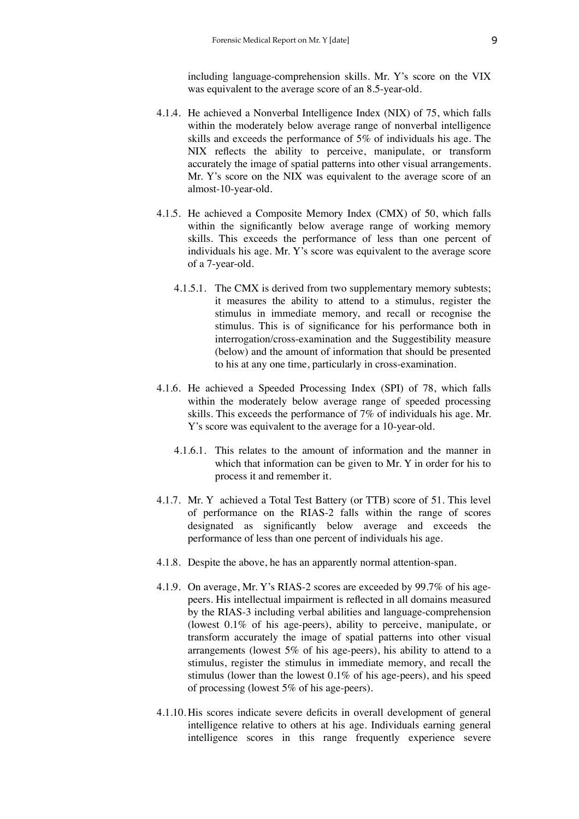including language-comprehension skills. Mr. Y's score on the VIX was equivalent to the average score of an 8.5-year-old.

- 4.1.4. He achieved a Nonverbal Intelligence Index (NIX) of 75, which falls within the moderately below average range of nonverbal intelligence skills and exceeds the performance of 5% of individuals his age. The NIX reflects the ability to perceive, manipulate, or transform accurately the image of spatial patterns into other visual arrangements. Mr. Y's score on the NIX was equivalent to the average score of an almost-10-year-old.
- 4.1.5. He achieved a Composite Memory Index (CMX) of 50, which falls within the significantly below average range of working memory skills. This exceeds the performance of less than one percent of individuals his age. Mr. Y's score was equivalent to the average score of a 7-year-old.
	- 4.1.5.1. The CMX is derived from two supplementary memory subtests; it measures the ability to attend to a stimulus, register the stimulus in immediate memory, and recall or recognise the stimulus. This is of significance for his performance both in interrogation/cross-examination and the Suggestibility measure (below) and the amount of information that should be presented to his at any one time, particularly in cross-examination.
- 4.1.6. He achieved a Speeded Processing Index (SPI) of 78, which falls within the moderately below average range of speeded processing skills. This exceeds the performance of 7% of individuals his age. Mr. Y's score was equivalent to the average for a 10-year-old.
	- 4.1.6.1. This relates to the amount of information and the manner in which that information can be given to Mr. Y in order for his to process it and remember it.
- 4.1.7. Mr. Y achieved a Total Test Battery (or TTB) score of 51. This level of performance on the RIAS-2 falls within the range of scores designated as significantly below average and exceeds the performance of less than one percent of individuals his age.
- 4.1.8. Despite the above, he has an apparently normal attention-span.
- 4.1.9. On average, Mr. Y's RIAS-2 scores are exceeded by 99.7% of his agepeers. His intellectual impairment is reflected in all domains measured by the RIAS-3 including verbal abilities and language-comprehension (lowest 0.1% of his age-peers), ability to perceive, manipulate, or transform accurately the image of spatial patterns into other visual arrangements (lowest 5% of his age-peers), his ability to attend to a stimulus, register the stimulus in immediate memory, and recall the stimulus (lower than the lowest 0.1% of his age-peers), and his speed of processing (lowest 5% of his age-peers).
- 4.1.10. His scores indicate severe deficits in overall development of general intelligence relative to others at his age. Individuals earning general intelligence scores in this range frequently experience severe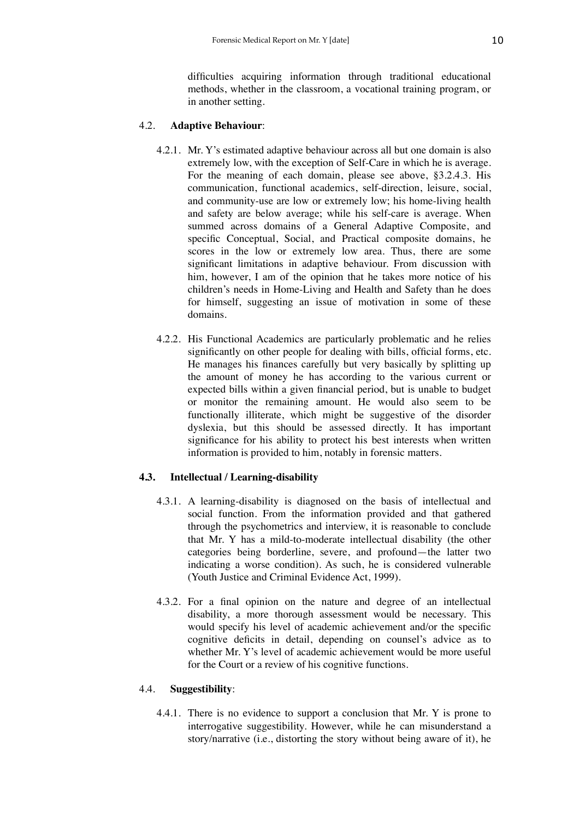difficulties acquiring information through traditional educational methods, whether in the classroom, a vocational training program, or in another setting.

# 4.2. **Adaptive Behaviour**:

- 4.2.1. Mr. Y's estimated adaptive behaviour across all but one domain is also extremely low, with the exception of Self-Care in which he is average. For the meaning of each domain, please see above, §3.2.4.3. His communication, functional academics, self-direction, leisure, social, and community-use are low or extremely low; his home-living health and safety are below average; while his self-care is average. When summed across domains of a General Adaptive Composite, and specific Conceptual, Social, and Practical composite domains, he scores in the low or extremely low area. Thus, there are some significant limitations in adaptive behaviour. From discussion with him, however, I am of the opinion that he takes more notice of his children's needs in Home-Living and Health and Safety than he does for himself, suggesting an issue of motivation in some of these domains.
- 4.2.2. His Functional Academics are particularly problematic and he relies significantly on other people for dealing with bills, official forms, etc. He manages his finances carefully but very basically by splitting up the amount of money he has according to the various current or expected bills within a given financial period, but is unable to budget or monitor the remaining amount. He would also seem to be functionally illiterate, which might be suggestive of the disorder dyslexia, but this should be assessed directly. It has important significance for his ability to protect his best interests when written information is provided to him, notably in forensic matters.

# **4.3. Intellectual / Learning-disability**

- 4.3.1. A learning-disability is diagnosed on the basis of intellectual and social function. From the information provided and that gathered through the psychometrics and interview, it is reasonable to conclude that Mr. Y has a mild-to-moderate intellectual disability (the other categories being borderline, severe, and profound—the latter two indicating a worse condition). As such, he is considered vulnerable (Youth Justice and Criminal Evidence Act, 1999).
- 4.3.2. For a final opinion on the nature and degree of an intellectual disability, a more thorough assessment would be necessary. This would specify his level of academic achievement and/or the specific cognitive deficits in detail, depending on counsel's advice as to whether Mr. Y's level of academic achievement would be more useful for the Court or a review of his cognitive functions.

# 4.4. **Suggestibility**:

4.4.1. There is no evidence to support a conclusion that Mr. Y is prone to interrogative suggestibility. However, while he can misunderstand a story/narrative (i.e., distorting the story without being aware of it), he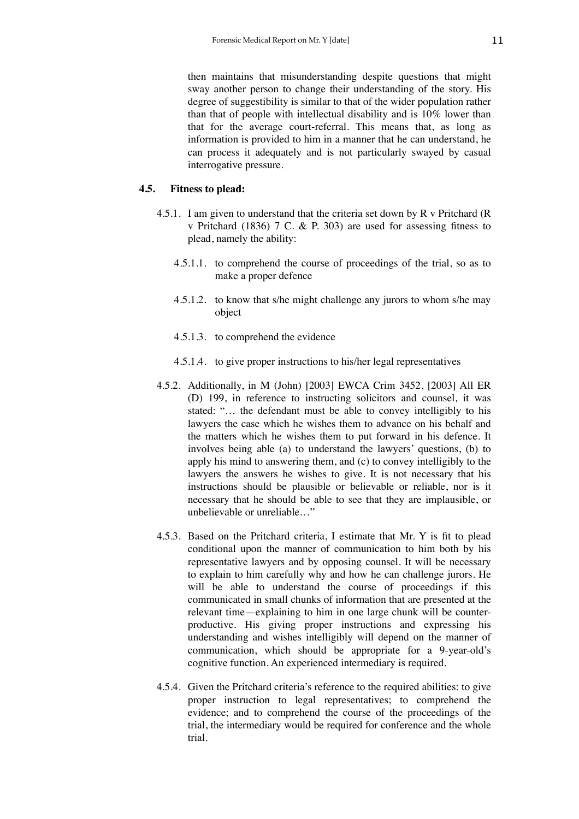then maintains that misunderstanding despite questions that might sway another person to change their understanding of the story. His degree of suggestibility is similar to that of the wider population rather than that of people with intellectual disability and is 10% lower than that for the average court-referral. This means that, as long as information is provided to him in a manner that he can understand, he can process it adequately and is not particularly swayed by casual interrogative pressure.

# **4.5. Fitness to plead:**

- 4.5.1. I am given to understand that the criteria set down by R v Pritchard (R v Pritchard (1836) 7 C. & P. 303) are used for assessing fitness to plead, namely the ability:
	- 4.5.1.1. to comprehend the course of proceedings of the trial, so as to make a proper defence
	- 4.5.1.2. to know that s/he might challenge any jurors to whom s/he may object
	- 4.5.1.3. to comprehend the evidence
	- 4.5.1.4. to give proper instructions to his/her legal representatives
- 4.5.2. Additionally, in M (John) [2003] EWCA Crim 3452, [2003] All ER (D) 199, in reference to instructing solicitors and counsel, it was stated: "… the defendant must be able to convey intelligibly to his lawyers the case which he wishes them to advance on his behalf and the matters which he wishes them to put forward in his defence. It involves being able (a) to understand the lawyers' questions, (b) to apply his mind to answering them, and (c) to convey intelligibly to the lawyers the answers he wishes to give. It is not necessary that his instructions should be plausible or believable or reliable, nor is it necessary that he should be able to see that they are implausible, or unbelievable or unreliable…"
- 4.5.3. Based on the Pritchard criteria, I estimate that Mr. Y is fit to plead conditional upon the manner of communication to him both by his representative lawyers and by opposing counsel. It will be necessary to explain to him carefully why and how he can challenge jurors. He will be able to understand the course of proceedings if this communicated in small chunks of information that are presented at the relevant time—explaining to him in one large chunk will be counterproductive. His giving proper instructions and expressing his understanding and wishes intelligibly will depend on the manner of communication, which should be appropriate for a 9-year-old's cognitive function. An experienced intermediary is required.
- 4.5.4. Given the Pritchard criteria's reference to the required abilities: to give proper instruction to legal representatives; to comprehend the evidence; and to comprehend the course of the proceedings of the trial, the intermediary would be required for conference and the whole trial.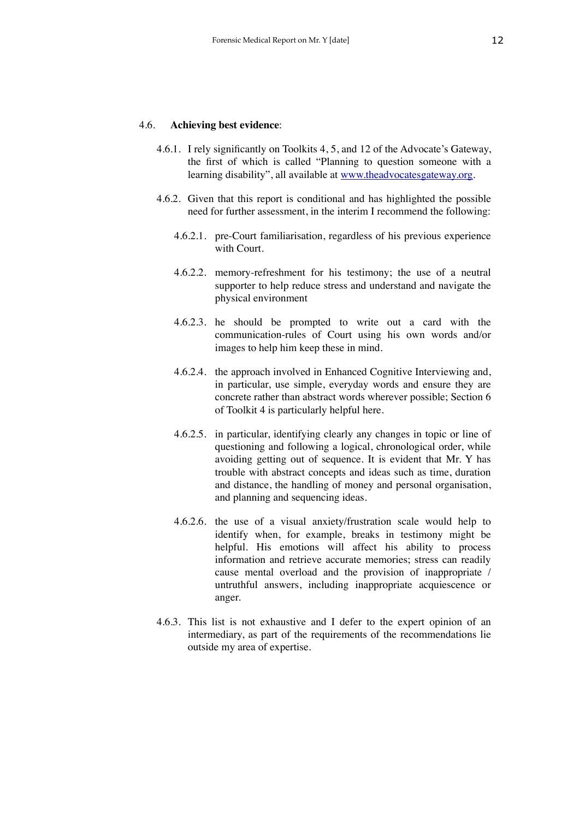#### 4.6. **Achieving best evidence**:

- 4.6.1. I rely significantly on Toolkits 4, 5, and 12 of the Advocate's Gateway, the first of which is called "Planning to question someone with a learning disability", all available at [www.theadvocatesgateway.org.](http://www.theadvocatesgateway.org)
- 4.6.2. Given that this report is conditional and has highlighted the possible need for further assessment, in the interim I recommend the following:
	- 4.6.2.1. pre-Court familiarisation, regardless of his previous experience with Court.
	- 4.6.2.2. memory-refreshment for his testimony; the use of a neutral supporter to help reduce stress and understand and navigate the physical environment
	- 4.6.2.3. he should be prompted to write out a card with the communication-rules of Court using his own words and/or images to help him keep these in mind.
	- 4.6.2.4. the approach involved in Enhanced Cognitive Interviewing and, in particular, use simple, everyday words and ensure they are concrete rather than abstract words wherever possible; Section 6 of Toolkit 4 is particularly helpful here.
	- 4.6.2.5. in particular, identifying clearly any changes in topic or line of questioning and following a logical, chronological order, while avoiding getting out of sequence. It is evident that Mr. Y has trouble with abstract concepts and ideas such as time, duration and distance, the handling of money and personal organisation, and planning and sequencing ideas.
	- 4.6.2.6. the use of a visual anxiety/frustration scale would help to identify when, for example, breaks in testimony might be helpful. His emotions will affect his ability to process information and retrieve accurate memories; stress can readily cause mental overload and the provision of inappropriate / untruthful answers, including inappropriate acquiescence or anger.
- 4.6.3. This list is not exhaustive and I defer to the expert opinion of an intermediary, as part of the requirements of the recommendations lie outside my area of expertise.